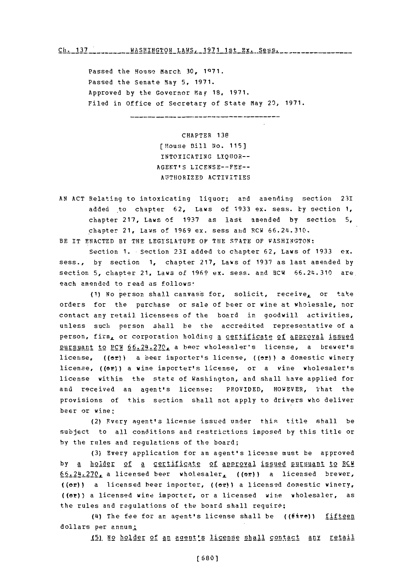## Ch. 137 \_\_\_\_\_\_\_\_\_ WASHINGTON LAWS, 1971 1st Ex. Sess. \_\_\_\_\_\_\_\_\_\_\_\_\_\_\_\_\_\_\_\_

Passed the Housq March **30, 1071.** Passed the Senate May **5, 1971.** Approved **by** the Governor May **18, 1971.** Filed in Office of Secretary of State May 20, **1971.**

----*--------------------------*-----

CHAPTER **138** [House **Bill** No. **115]** INTOXICATING **LIQUOR-- AGEFT'S LICENSE--FEE-**AUTHORIZED ACTIVITIES

**AN ACT** Relating to intoxicating liquor; and amending section 231 added to chapter **62,** Laws of **1933** ex. sess. **by** section **1,** chapter **217,** Laws of **1937** as last amended **by** section **5,** chapter 21, Laws of 1969 ex. sess and RCW 66.24.310.

BE IT ENACTED BY THE LEGISLATUPE OF THE STATE OF WASHINGTON:

Section **1.** Section 231 added to chapter **62,** Laws of **1933** ex. sass., **by** section **1,** chauter **217,** Laws of **1937** as last amended **by** section **5,** chapter 21, Laws **of 1969** ex. mess. and BCW **66.24~.310** are. each amended to read as follows:

**(1) No** person shall canvass for, solicit, receive, or take orders for the purchase or sale of beer or wine at wholesale, nor contact any retail licensees of the board in goodwill activities, unless such person shall be the accredited representative of a person, firm, or corporation holding a certificate of approval issued pursuant to PCW **6 6 .2 4N\*2 7 0 L** a bper wholesaler's license, a brewer's license, ((or)) a beer importer's license, ((or)) a domestic winery license, **((or))** a wine importer's license, or a vine wholesaler's license within the state of Washington, and shall have applied for and received an agent's license: PROVIDED, HOWEVER, That the provisions of this section shall not apply to drivers who deliver beer or wine:

(2) Fvery agent's license issued under this title shall be subject to all conditions and restrictions imposed **by** this title or **by** the rules and regulations of the board;

**(3)** Every application for an agent's license must be approved **by a holder of a certificate of approval issued pursuant to RCM 6 6** *.* **<sup>2</sup>** *4.* **2 7 0 L\_** a licensed beer wholesaler., (00m) a licensed brewer, ((or)) a licensed beer importer, ((or)) a licensed domestic winery, ((or)) a licensed wine importer, or a licensed wine wholesaler, as the rules and regulations of the board shall require;

(4) The fee for ar agent's license shall be  $((fire))$  fifteen dollars per annum;

**\_(1\_N** holder of an agent's license shall contact **any** Etail